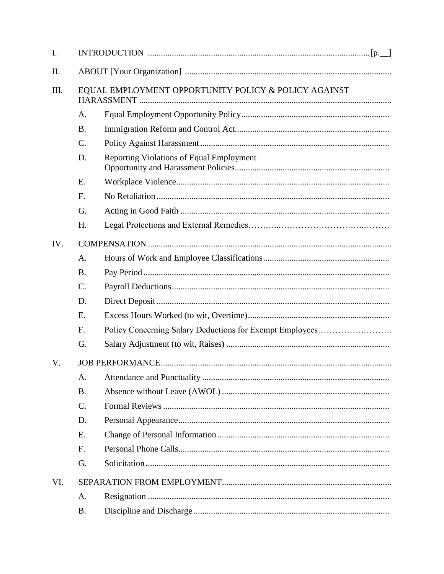| I.  |                                                      |                                                          |  |  |
|-----|------------------------------------------------------|----------------------------------------------------------|--|--|
| П.  |                                                      |                                                          |  |  |
| Ш.  | EQUAL EMPLOYMENT OPPORTUNITY POLICY & POLICY AGAINST |                                                          |  |  |
|     | A.                                                   |                                                          |  |  |
|     | <b>B.</b>                                            |                                                          |  |  |
|     | C.                                                   |                                                          |  |  |
|     | D.                                                   | <b>Reporting Violations of Equal Employment</b>          |  |  |
|     | E.                                                   |                                                          |  |  |
|     | F.                                                   |                                                          |  |  |
|     | G.                                                   |                                                          |  |  |
|     | H.                                                   |                                                          |  |  |
| IV. |                                                      |                                                          |  |  |
|     | A.                                                   |                                                          |  |  |
|     | <b>B.</b>                                            |                                                          |  |  |
|     | $\mathcal{C}$ .                                      |                                                          |  |  |
|     | D.                                                   |                                                          |  |  |
|     | E.                                                   |                                                          |  |  |
|     | F.                                                   | Policy Concerning Salary Deductions for Exempt Employees |  |  |
|     | G.                                                   |                                                          |  |  |
| V.  |                                                      |                                                          |  |  |
|     | A.                                                   |                                                          |  |  |
|     | <b>B.</b>                                            |                                                          |  |  |
|     | C.                                                   |                                                          |  |  |
|     | D.                                                   |                                                          |  |  |
|     | E.                                                   |                                                          |  |  |
|     | F.                                                   |                                                          |  |  |
|     | G.                                                   |                                                          |  |  |
| VI. |                                                      |                                                          |  |  |
|     | A.                                                   |                                                          |  |  |
|     | <b>B.</b>                                            |                                                          |  |  |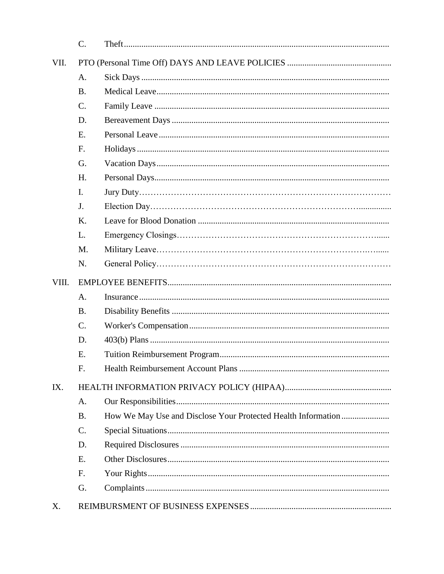|       | $C$ .           |  |  |  |
|-------|-----------------|--|--|--|
| VII.  |                 |  |  |  |
|       | A.              |  |  |  |
|       | <b>B.</b>       |  |  |  |
|       | $\mathcal{C}$ . |  |  |  |
|       | D.              |  |  |  |
|       | E.              |  |  |  |
|       | F.              |  |  |  |
|       | G.              |  |  |  |
|       | H.              |  |  |  |
|       | I.              |  |  |  |
|       | J.              |  |  |  |
|       | K.              |  |  |  |
|       | L.              |  |  |  |
|       | M.              |  |  |  |
|       | N.              |  |  |  |
| VIII. |                 |  |  |  |
|       | A.              |  |  |  |
|       | <b>B.</b>       |  |  |  |
|       | $\mathcal{C}$ . |  |  |  |
|       |                 |  |  |  |
|       | D.              |  |  |  |
|       | E.              |  |  |  |
|       | F.              |  |  |  |
| IX.   |                 |  |  |  |
|       | A.              |  |  |  |
|       | <b>B.</b>       |  |  |  |
|       | $\mathcal{C}$ . |  |  |  |
|       | D.              |  |  |  |
|       | E.              |  |  |  |
|       | F.              |  |  |  |
|       | G.              |  |  |  |